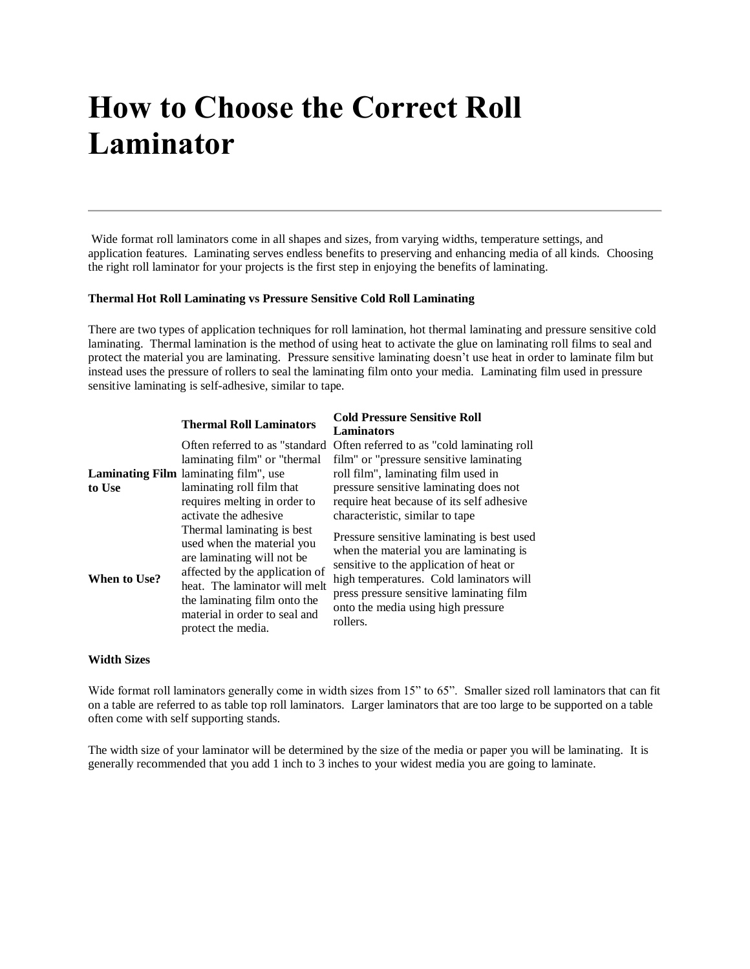# **How to Choose the Correct Roll Laminator**

Wide format roll laminators come in all shapes and sizes, from varying widths, temperature settings, and application features. Laminating serves endless benefits to preserving and enhancing media of all kinds. Choosing the right roll laminator for your projects is the first step in enjoying the benefits of laminating.

## **Thermal Hot Roll Laminating vs Pressure Sensitive Cold Roll Laminating**

There are two types of application techniques for roll lamination, hot thermal laminating and pressure sensitive cold laminating. Thermal lamination is the method of using heat to activate the glue on laminating roll films to seal and protect the material you are laminating. Pressure sensitive laminating doesn't use heat in order to laminate film but instead uses the pressure of rollers to seal the laminating film onto your media. Laminating film used in pressure sensitive laminating is self-adhesive, similar to tape.

|              | <b>Thermal Roll Laminators</b>                                                                                                                                                                                                                    | <b>Cold Pressure Sensitive Roll</b>                                                                                                                                                                                                                                       |
|--------------|---------------------------------------------------------------------------------------------------------------------------------------------------------------------------------------------------------------------------------------------------|---------------------------------------------------------------------------------------------------------------------------------------------------------------------------------------------------------------------------------------------------------------------------|
|              |                                                                                                                                                                                                                                                   | Laminators                                                                                                                                                                                                                                                                |
|              | Often referred to as "standard"                                                                                                                                                                                                                   | Often referred to as "cold laminating roll                                                                                                                                                                                                                                |
|              | laminating film" or "thermal"                                                                                                                                                                                                                     | film" or "pressure sensitive laminating                                                                                                                                                                                                                                   |
|              | <b>Laminating Film</b> laminating film", use                                                                                                                                                                                                      | roll film", laminating film used in                                                                                                                                                                                                                                       |
| to Use       | laminating roll film that                                                                                                                                                                                                                         | pressure sensitive laminating does not                                                                                                                                                                                                                                    |
|              | requires melting in order to                                                                                                                                                                                                                      | require heat because of its self adhesive                                                                                                                                                                                                                                 |
|              | activate the adhesive                                                                                                                                                                                                                             | characteristic, similar to tape                                                                                                                                                                                                                                           |
| When to Use? | Thermal laminating is best<br>used when the material you<br>are laminating will not be.<br>affected by the application of<br>heat. The laminator will melt<br>the laminating film onto the<br>material in order to seal and<br>protect the media. | Pressure sensitive laminating is best used<br>when the material you are laminating is<br>sensitive to the application of heat or<br>high temperatures. Cold laminators will<br>press pressure sensitive laminating film<br>onto the media using high pressure<br>rollers. |

## **Width Sizes**

Wide format roll laminators generally come in width sizes from 15" to 65". Smaller sized roll laminators that can fit on a table are referred to as table top roll laminators. Larger laminators that are too large to be supported on a table often come with self supporting stands.

The width size of your laminator will be determined by the size of the media or paper you will be laminating. It is generally recommended that you add 1 inch to 3 inches to your widest media you are going to laminate.